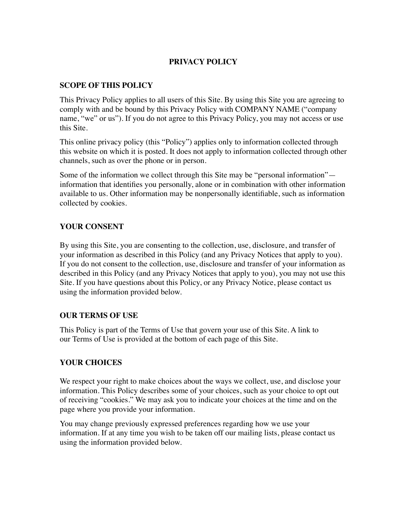## **PRIVACY POLICY**

## **SCOPE OF THIS POLICY**

This Privacy Policy applies to all users of this Site. By using this Site you are agreeing to comply with and be bound by this Privacy Policy with COMPANY NAME ("company name, "we" or us"). If you do not agree to this Privacy Policy, you may not access or use this Site.

This online privacy policy (this "Policy") applies only to information collected through this website on which it is posted. It does not apply to information collected through other channels, such as over the phone or in person.

Some of the information we collect through this Site may be "personal information" information that identifies you personally, alone or in combination with other information available to us. Other information may be nonpersonally identifiable, such as information collected by cookies.

## **YOUR CONSENT**

By using this Site, you are consenting to the collection, use, disclosure, and transfer of your information as described in this Policy (and any Privacy Notices that apply to you). If you do not consent to the collection, use, disclosure and transfer of your information as described in this Policy (and any Privacy Notices that apply to you), you may not use this Site. If you have questions about this Policy, or any Privacy Notice, please contact us using the information provided below.

## **OUR TERMS OF USE**

This Policy is part of the Terms of Use that govern your use of this Site. A link to our Terms of Use is provided at the bottom of each page of this Site.

## **YOUR CHOICES**

We respect your right to make choices about the ways we collect, use, and disclose your information. This Policy describes some of your choices, such as your choice to opt out of receiving "cookies." We may ask you to indicate your choices at the time and on the page where you provide your information.

You may change previously expressed preferences regarding how we use your information. If at any time you wish to be taken off our mailing lists, please contact us using the information provided below.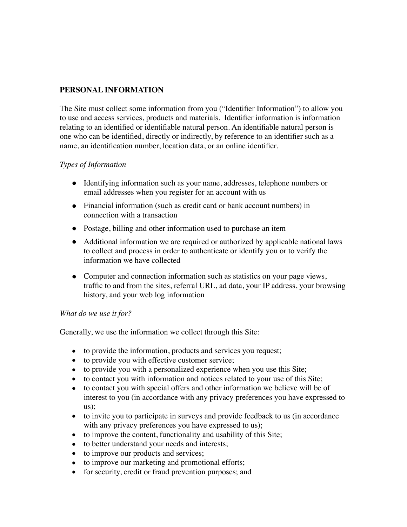# **PERSONAL INFORMATION**

The Site must collect some information from you ("Identifier Information") to allow you to use and access services, products and materials. Identifier information is information relating to an identified or identifiable natural person. An identifiable natural person is one who can be identified, directly or indirectly, by reference to an identifier such as a name, an identification number, location data, or an online identifier.

## *Types of Information*

- Identifying information such as your name, addresses, telephone numbers or email addresses when you register for an account with us
- Financial information (such as credit card or bank account numbers) in connection with a transaction
- Postage, billing and other information used to purchase an item
- Additional information we are required or authorized by applicable national laws to collect and process in order to authenticate or identify you or to verify the information we have collected
- Computer and connection information such as statistics on your page views, traffic to and from the sites, referral URL, ad data, your IP address, your browsing history, and your web log information

#### *What do we use it for?*

Generally, we use the information we collect through this Site:

- to provide the information, products and services you request;
- to provide you with effective customer service;
- to provide you with a personalized experience when you use this Site;
- to contact you with information and notices related to your use of this Site;
- to contact you with special offers and other information we believe will be of interest to you (in accordance with any privacy preferences you have expressed to us);
- to invite you to participate in surveys and provide feedback to us (in accordance with any privacy preferences you have expressed to us);
- to improve the content, functionality and usability of this Site;
- to better understand your needs and interests;
- to improve our products and services;
- to improve our marketing and promotional efforts;
- for security, credit or fraud prevention purposes; and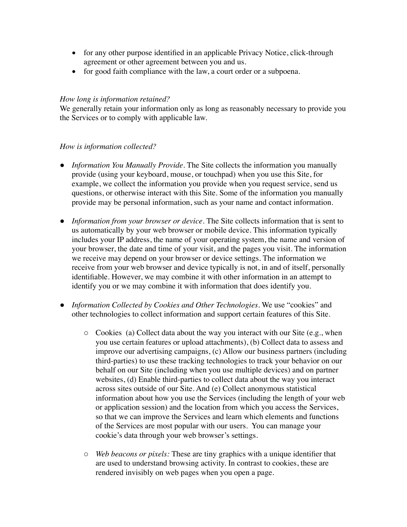- for any other purpose identified in an applicable Privacy Notice, click-through agreement or other agreement between you and us.
- for good faith compliance with the law, a court order or a subpoena.

### *How long is information retained?*

We generally retain your information only as long as reasonably necessary to provide you the Services or to comply with applicable law.

### *How is information collected?*

- *Information You Manually Provide*. The Site collects the information you manually provide (using your keyboard, mouse, or touchpad) when you use this Site, for example, we collect the information you provide when you request service, send us questions, or otherwise interact with this Site. Some of the information you manually provide may be personal information, such as your name and contact information.
- *Information from your browser or device*. The Site collects information that is sent to us automatically by your web browser or mobile device. This information typically includes your IP address, the name of your operating system, the name and version of your browser, the date and time of your visit, and the pages you visit. The information we receive may depend on your browser or device settings. The information we receive from your web browser and device typically is not, in and of itself, personally identifiable. However, we may combine it with other information in an attempt to identify you or we may combine it with information that does identify you.
- *Information Collected by Cookies and Other Technologies*. We use "cookies" and other technologies to collect information and support certain features of this Site.
	- o Cookies (a) Collect data about the way you interact with our Site (e.g., when you use certain features or upload attachments), (b) Collect data to assess and improve our advertising campaigns, (c) Allow our business partners (including third-parties) to use these tracking technologies to track your behavior on our behalf on our Site (including when you use multiple devices) and on partner websites, (d) Enable third-parties to collect data about the way you interact across sites outside of our Site. And (e) Collect anonymous statistical information about how you use the Services (including the length of your web or application session) and the location from which you access the Services, so that we can improve the Services and learn which elements and functions of the Services are most popular with our users. You can manage your cookie's data through your web browser's settings.
	- o *Web beacons or pixels:* These are tiny graphics with a unique identifier that are used to understand browsing activity. In contrast to cookies, these are rendered invisibly on web pages when you open a page.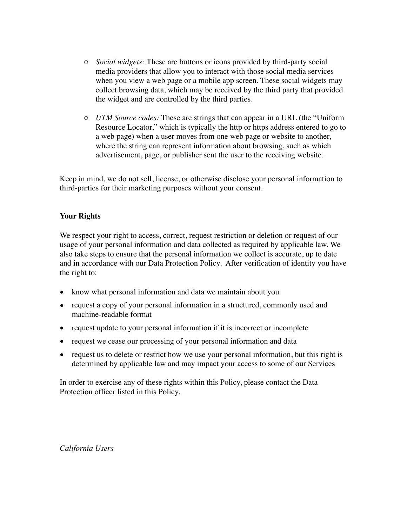- o *Social widgets:* These are buttons or icons provided by third-party social media providers that allow you to interact with those social media services when you view a web page or a mobile app screen. These social widgets may collect browsing data, which may be received by the third party that provided the widget and are controlled by the third parties.
- o *UTM Source codes:* These are strings that can appear in a URL (the "Uniform Resource Locator," which is typically the http or https address entered to go to a web page) when a user moves from one web page or website to another, where the string can represent information about browsing, such as which advertisement, page, or publisher sent the user to the receiving website.

Keep in mind, we do not sell, license, or otherwise disclose your personal information to third-parties for their marketing purposes without your consent.

### **Your Rights**

We respect your right to access, correct, request restriction or deletion or request of our usage of your personal information and data collected as required by applicable law. We also take steps to ensure that the personal information we collect is accurate, up to date and in accordance with our Data Protection Policy. After verification of identity you have the right to:

- know what personal information and data we maintain about you
- request a copy of your personal information in a structured, commonly used and machine-readable format
- request update to your personal information if it is incorrect or incomplete
- request we cease our processing of your personal information and data
- request us to delete or restrict how we use your personal information, but this right is determined by applicable law and may impact your access to some of our Services

In order to exercise any of these rights within this Policy, please contact the Data Protection officer listed in this Policy.

*California Users*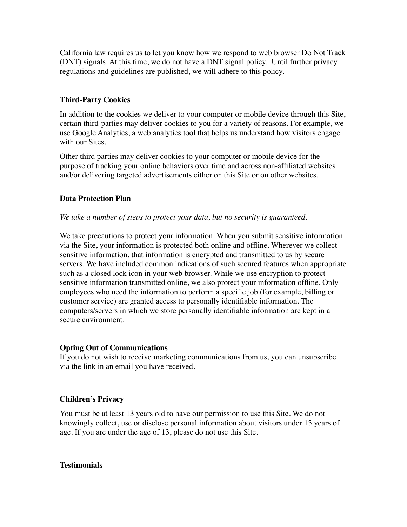California law requires us to let you know how we respond to web browser Do Not Track (DNT) signals. At this time, we do not have a DNT signal policy. Until further privacy regulations and guidelines are published, we will adhere to this policy.

## **Third-Party Cookies**

In addition to the cookies we deliver to your computer or mobile device through this Site, certain third-parties may deliver cookies to you for a variety of reasons. For example, we use Google Analytics, a web analytics tool that helps us understand how visitors engage with our Sites.

Other third parties may deliver cookies to your computer or mobile device for the purpose of tracking your online behaviors over time and across non-affiliated websites and/or delivering targeted advertisements either on this Site or on other websites.

### **Data Protection Plan**

#### *We take a number of steps to protect your data, but no security is guaranteed.*

We take precautions to protect your information. When you submit sensitive information via the Site, your information is protected both online and offline. Wherever we collect sensitive information, that information is encrypted and transmitted to us by secure servers. We have included common indications of such secured features when appropriate such as a closed lock icon in your web browser. While we use encryption to protect sensitive information transmitted online, we also protect your information offline. Only employees who need the information to perform a specific job (for example, billing or customer service) are granted access to personally identifiable information. The computers/servers in which we store personally identifiable information are kept in a secure environment.

#### **Opting Out of Communications**

If you do not wish to receive marketing communications from us, you can unsubscribe via the link in an email you have received.

## **Children's Privacy**

You must be at least 13 years old to have our permission to use this Site. We do not knowingly collect, use or disclose personal information about visitors under 13 years of age. If you are under the age of 13, please do not use this Site.

#### **Testimonials**